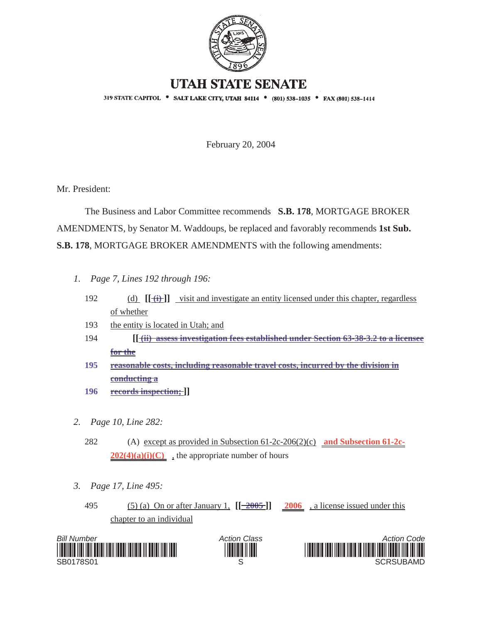

## **UTAH STATE SENATE**

319 STATE CAPITOL . SALT LAKE CITY, UTAH 84114 . (801) 538-1035 . FAX (801) 538-1414

February 20, 2004

Mr. President:

 The Business and Labor Committee recommends **S.B. 178**, MORTGAGE BROKER AMENDMENTS, by Senator M. Waddoups, be replaced and favorably recommends **1st Sub. S.B. 178**, MORTGAGE BROKER AMENDMENTS with the following amendments:

- *1. Page 7, Lines 192 through 196:*
	- 192 (d) **[[ (i) ]]** visit and investigate an entity licensed under this chapter, regardless of whether
	- 193 the entity is located in Utah; and
	- 194 **[[ (ii) assess investigation fees established under Section 63-38-3.2 to a licensee for the**
	- **195 reasonable costs, including reasonable travel costs, incurred by the division in conducting a**
	- **196 records inspection; ]]**
- *2. Page 10, Line 282:*
	- 282 (A) except as provided in Subsection 61-2c-206(2)(c) **and Subsection 61-2c-** $202(4)(a)(i)(C)$ , the appropriate number of hours
- *3. Page 17, Line 495:*
	- 495 (5) (a) On or after January 1,  $[[\frac{-2005}{2006}, \frac{2006}{2006}]$  a license issued under this chapter to an individual





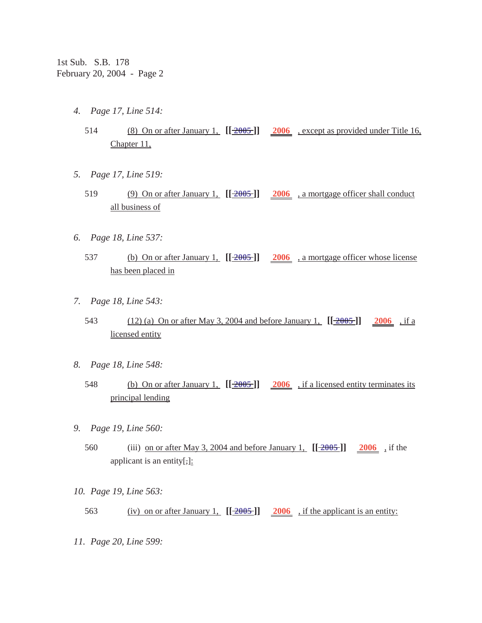- *4. Page 17, Line 514:*
	- 514 (8) On or after January 1, **[[ 2005 ]] 2006** , except as provided under Title 16, Chapter 11,
- *5. Page 17, Line 519:*
	- 519 (9) On or after January 1, **[[ 2005 ]] 2006** , a mortgage officer shall conduct all business of
- *6. Page 18, Line 537:*
	- 537 (b) On or after January 1, **[[ 2005 ]] 2006** , a mortgage officer whose license has been placed in
- *7. Page 18, Line 543:*
	- 543 (12) (a) On or after May 3, 2004 and before January 1, **[[ 2005 ]] 2006** , if a licensed entity
- *8. Page 18, Line 548:*
	- 548 (b) On or after January 1, **[[ 2005 ]] 2006** , if a licensed entity terminates its principal lending
- *9. Page 19, Line 560:*
	- 560 (iii) on or after May 3, 2004 and before January 1, **[[ 2005 ]] 2006** , if the applicant is an entity[ $\frac{1}{1}$ ]:
- *10. Page 19, Line 563:*
	- 563 (iv) on or after January 1,  $\left[\frac{2005}{2005}\right]$  2006, if the applicant is an entity:
- *11. Page 20, Line 599:*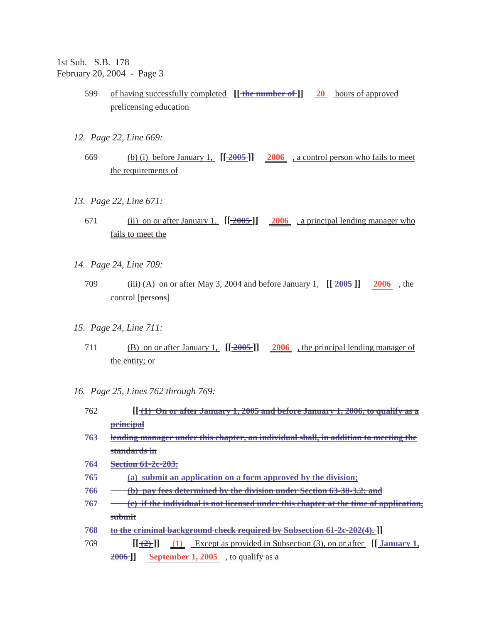1st Sub. S.B. 178 February 20, 2004 - Page 3

- 599 of having successfully completed **[[ the number of ]] 20** hours of approved prelicensing education
- *12. Page 22, Line 669:*
	- 669 (b) (i) before January 1, **[[ 2005 ]] 2006** , a control person who fails to meet the requirements of
- *13. Page 22, Line 671:*
	- 671 (ii) on or after January 1, **[[ 2005 ]] 2006** , a principal lending manager who fails to meet the
- *14. Page 24, Line 709:*
	- 709 (iii) (A) on or after May 3, 2004 and before January 1, **[[ 2005 ]] 2006** , the control [persons]
- *15. Page 24, Line 711:*
	- 711 (B) on or after January 1, **[[ 2005 ]] 2006** , the principal lending manager of the entity; or
- *16. Page 25, Lines 762 through 769:*
	- 762 **[[ (1) On or after January 1, 2005 and before January 1, 2006, to qualify as a principal**
	- **763 lending manager under this chapter, an individual shall, in addition to meeting the standards in**
	- **764 Section 61-2c-203:**
	- **765 (a) submit an application on a form approved by the division;**
	- **766 (b) pay fees determined by the division under Section 63-38-3.2; and**
	- **767 (c) if the individual is not licensed under this chapter at the time of application, submit**
	- **768 to the criminal background check required by Subsection 61-2c-202(4). ]]**
	- 769 **[[ (2) ]] [[ (1)** Except as provided in Subsection (3), on or after **January 1, 2006 ]] September 1, 2005** , to qualify as a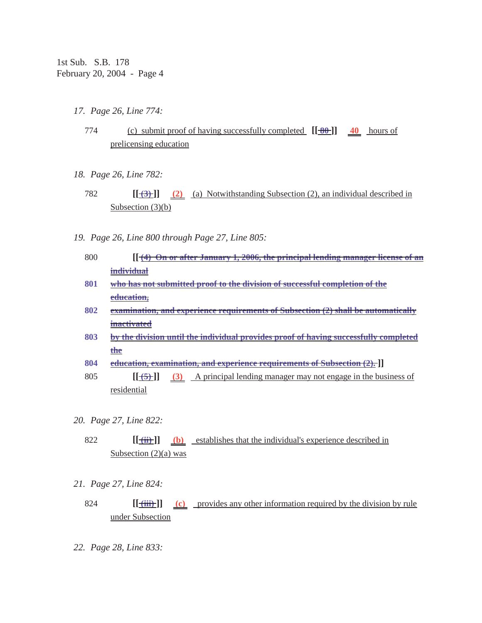- *17. Page 26, Line 774:*
	- 774 (c) submit proof of having successfully completed **[[ 80 ]] 40** hours of prelicensing education
- *18. Page 26, Line 782:*
	- 782 **[[ (3) ]] (2)** (a) Notwithstanding Subsection (2), an individual described in Subsection (3)(b)
- *19. Page 26, Line 800 through Page 27, Line 805:*
	- 800 **[[ (4) On or after January 1, 2006, the principal lending manager license of an individual**
	- **801 who has not submitted proof to the division of successful completion of the education,**
	- **802 examination, and experience requirements of Subsection (2) shall be automatically inactivated**
	- **803 by the division until the individual provides proof of having successfully completed the**
	- **804 education, examination, and experience requirements of Subsection (2). ]]**
	- 805 **[[ (5) ]] (3)** A principal lending manager may not engage in the business of residential
- *20. Page 27, Line 822:*
	- 822 **[[ (ii) ]] (b)** establishes that the individual's experience described in Subsection  $(2)(a)$  was
- *21. Page 27, Line 824:*
	- 824 **[[ (iii) ]] (c)** provides any other information required by the division by rule under Subsection
- *22. Page 28, Line 833:*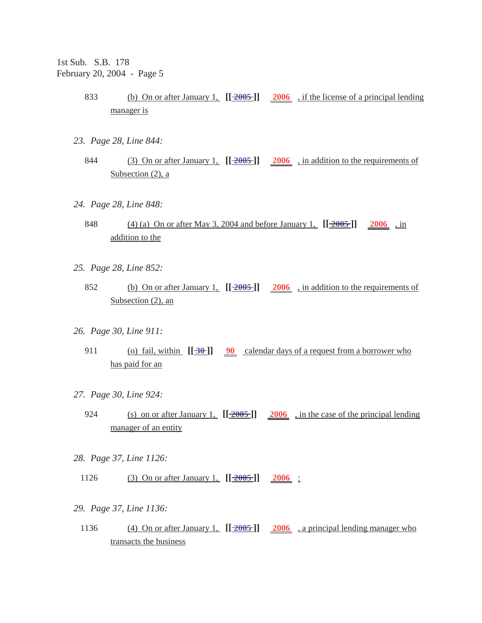1st Sub. S.B. 178 February 20, 2004 - Page 5

- 833 (b) On or after January 1, **[[ 2005 ]] 2006** , if the license of a principal lending manager is
- *23. Page 28, Line 844:*
	- 844 (3) On or after January 1, **[[ 2005 ]] 2006** , in addition to the requirements of Subsection (2), a
- *24. Page 28, Line 848:*
	- 848 (4) (a) On or after May 3, 2004 and before January 1, **[[ 2005 ]] 2006** , in addition to the
- *25. Page 28, Line 852:*
	- 852 (b) On or after January 1, **[[ 2005 ]] 2006** , in addition to the requirements of Subsection (2), an
- *26. Page 30, Line 911:*
	- 911 (o) fail, within  $[\frac{30}{90}$  calendar days of a request from a borrower who has paid for an
- *27. Page 30, Line 924:*
	- 924 (s) on or after January 1, **[[ 2005 ]] 2006** , in the case of the principal lending manager of an entity
- *28. Page 37, Line 1126:*
	- 1126 (3) On or after January 1,  $[[2005]]$  2006 :
- *29. Page 37, Line 1136:*
- 1136 (4) On or after January 1, **[[ 2005 ]] 2006** , a principal lending manager who transacts the business